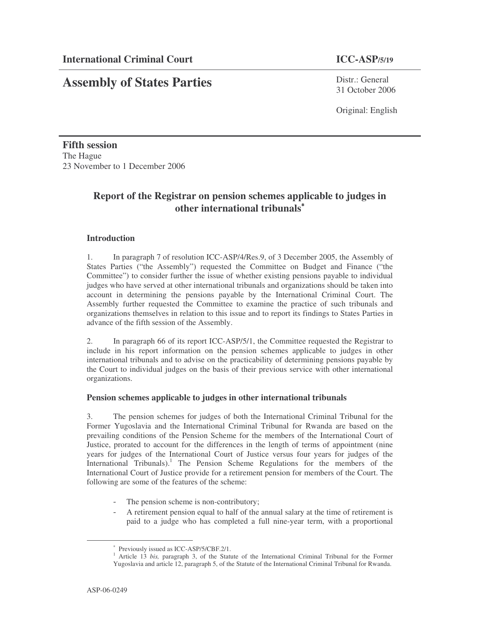# **Assembly of States Parties**

Distr · General 31 October 2006

Original: English

**Fifth session** The Hague 23 November to 1 December 2006

## **Report of the Registrar on pension schemes applicable to judges in other international tribunals** ∗

### **Introduction**

1. In paragraph 7 of resolution ICC-ASP/4/Res.9, of 3 December 2005, the Assembly of States Parties ("the Assembly") requested the Committee on Budget and Finance ("the Committee") to consider further the issue of whether existing pensions payable to individual judges who have served at other international tribunals and organizations should be taken into account in determining the pensions payable by the International Criminal Court. The Assembly further requested the Committee to examine the practice of such tribunals and organizations themselves in relation to this issue and to report its findings to States Parties in advance of the fifth session of the Assembly.

2. In paragraph 66 of its report ICC-ASP/5/1, the Committee requested the Registrar to include in his report information on the pension schemes applicable to judges in other international tribunals and to advise on the practicability of determining pensions payable by the Court to individual judges on the basis of their previous service with other international organizations.

#### **Pension schemes applicable to judges in other international tribunals**

3. The pension schemes for judges of both the International Criminal Tribunal for the Former Yugoslavia and the International Criminal Tribunal for Rwanda are based on the prevailing conditions of the Pension Scheme for the members of the International Court of Justice, prorated to account for the differences in the length of terms of appointment (nine years for judges of the International Court of Justice versus four years for judges of the International Tribunals).<sup>1</sup> The Pension Scheme Regulations for the members of the International Court of Justice provide for a retirement pension for members of the Court. The following are some of the features of the scheme:

- The pension scheme is non-contributory;
- A retirement pension equal to half of the annual salary at the time of retirement is paid to a judge who has completed a full nine-year term, with a proportional

<sup>∗</sup> Previously issued as ICC-ASP/5/CBF.2/1.

<sup>&</sup>lt;sup>1</sup> Article 13 *bis,* paragraph 3, of the Statute of the International Criminal Tribunal for the Former Yugoslavia and article 12, paragraph 5, of the Statute of the International Criminal Tribunal for Rwanda.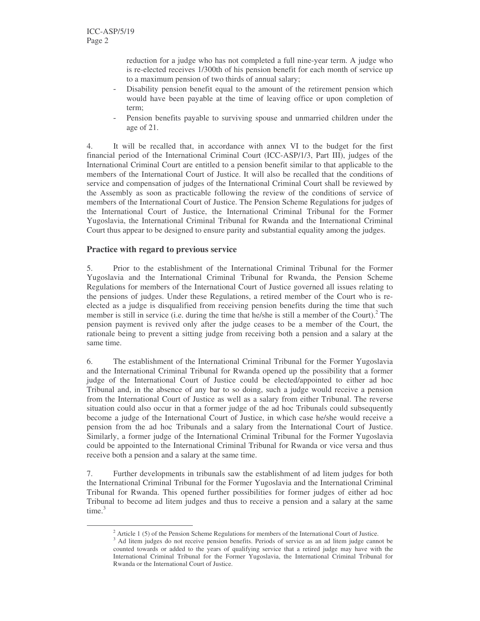reduction for a judge who has not completed a full nine-year term. A judge who is re-elected receives 1/300th of his pension benefit for each month of service up to a maximum pension of two thirds of annual salary;

- Disability pension benefit equal to the amount of the retirement pension which would have been payable at the time of leaving office or upon completion of term;
- Pension benefits payable to surviving spouse and unmarried children under the age of 21.

4. It will be recalled that, in accordance with annex VI to the budget for the first financial period of the International Criminal Court (ICC-ASP/1/3, Part III), judges of the International Criminal Court are entitled to a pension benefit similar to that applicable to the members of the International Court of Justice. It will also be recalled that the conditions of service and compensation of judges of the International Criminal Court shall be reviewed by the Assembly as soon as practicable following the review of the conditions of service of members of the International Court of Justice. The Pension Scheme Regulations for judges of the International Court of Justice, the International Criminal Tribunal for the Former Yugoslavia, the International Criminal Tribunal for Rwanda and the International Criminal Court thus appear to be designed to ensure parity and substantial equality among the judges.

### **Practice with regard to previous service**

5. Prior to the establishment of the International Criminal Tribunal for the Former Yugoslavia and the International Criminal Tribunal for Rwanda, the Pension Scheme Regulations for members of the International Court of Justice governed all issues relating to the pensions of judges. Under these Regulations, a retired member of the Court who is reelected as a judge is disqualified from receiving pension benefits during the time that such member is still in service (i.e. during the time that he/she is still a member of the Court).<sup>2</sup> The pension payment is revived only after the judge ceases to be a member of the Court, the rationale being to prevent a sitting judge from receiving both a pension and a salary at the same time.

6. The establishment of the International Criminal Tribunal for the Former Yugoslavia and the International Criminal Tribunal for Rwanda opened up the possibility that a former judge of the International Court of Justice could be elected/appointed to either ad hoc Tribunal and, in the absence of any bar to so doing, such a judge would receive a pension from the International Court of Justice as well as a salary from either Tribunal. The reverse situation could also occur in that a former judge of the ad hoc Tribunals could subsequently become a judge of the International Court of Justice, in which case he/she would receive a pension from the ad hoc Tribunals and a salary from the International Court of Justice. Similarly, a former judge of the International Criminal Tribunal for the Former Yugoslavia could be appointed to the International Criminal Tribunal for Rwanda or vice versa and thus receive both a pension and a salary at the same time.

7. Further developments in tribunals saw the establishment of ad litem judges for both the International Criminal Tribunal for the Former Yugoslavia and the International Criminal Tribunal for Rwanda. This opened further possibilities for former judges of either ad hoc Tribunal to become ad litem judges and thus to receive a pension and a salary at the same time. 3

 $2$  Article 1 (5) of the Pension Scheme Regulations for members of the International Court of Justice.

<sup>&</sup>lt;sup>3</sup> Ad litem judges do not receive pension benefits. Periods of service as an ad litem judge cannot be counted towards or added to the years of qualifying service that a retired judge may have with the International Criminal Tribunal for the Former Yugoslavia, the International Criminal Tribunal for Rwanda or the International Court of Justice.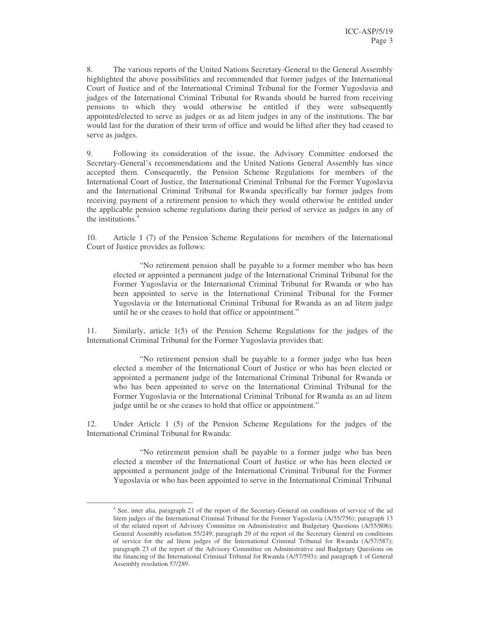8. The various reports of the United Nations Secretary-General to the General Assembly highlighted the above possibilities and recommended that former judges of the International Court of Justice and of the International Criminal Tribunal for the Former Yugoslavia and judges of the International Criminal Tribunal for Rwanda should be barred from receiving pensions to which they would otherwise be entitled if they were subsequently appointed/elected to serve as judges or as ad litem judges in any of the institutions. The bar would last for the duration of their term of office and would be lifted after they had ceased to serve as judges.

9. Following its consideration of the issue, the Advisory Committee endorsed the Secretary-General's recommendations and the United Nations General Assembly has since accepted them. Consequently, the Pension Scheme Regulations for members of the International Court of Justice, the International Criminal Tribunal for the Former Yugoslavia and the International Criminal Tribunal for Rwanda specifically bar former judges from receiving payment of a retirement pension to which they would otherwise be entitled under the applicable pension scheme regulations during their period of service as judges in any of the institutions. 4

10. Article 1 (7) of the Pension Scheme Regulations for members of the International Court of Justice provides as follows:

"No retirement pension shall be payable to a former member who has been elected or appointed a permanent judge of the International Criminal Tribunal for the Former Yugoslavia or the International Criminal Tribunal for Rwanda or who has been appointed to serve in the International Criminal Tribunal for the Former Yugoslavia or the International Criminal Tribunal for Rwanda as an ad litem judge until he or she ceases to hold that office or appointment."

11. Similarly, article 1(5) of the Pension Scheme Regulations for the judges of the International Criminal Tribunal for the Former Yugoslavia provides that:

"No retirement pension shall be payable to a former judge who has been elected a member of the International Court of Justice or who has been elected or appointed a permanent judge of the International Criminal Tribunal for Rwanda or who has been appointed to serve on the International Criminal Tribunal for the Former Yugoslavia or the International Criminal Tribunal for Rwanda as an ad litem judge until he or she ceases to hold that office or appointment."

12. Under Article 1 (5) of the Pension Scheme Regulations for the judges of the International Criminal Tribunal for Rwanda:

"No retirement pension shall be payable to a former judge who has been elected a member of the International Court of Justice or who has been elected or appointed a permanent judge of the International Criminal Tribunal for the Former Yugoslavia or who has been appointed to serve in the International Criminal Tribunal

<sup>&</sup>lt;sup>4</sup> See, inter alia, paragraph 21 of the report of the Secretary-General on conditions of service of the ad litem judges of the International Criminal Tribunal for the Former Yugoslavia (A/55/756); paragraph 13 of the related report of Advisory Committee on Administrative and Budgetary Questions (A/55/806); General Assembly resolution 55/249; paragraph 29 of the report of the Secretary General on conditions of service for the ad litem judges of the International Criminal Tribunal for Rwanda (A/57/587); paragraph 23 of the report of the Advisory Committee on Administrative and Budgetary Questions on the financing of the International Criminal Tribunal for Rwanda (A/57/593); and paragraph 1 of General Assembly resolution 57/289.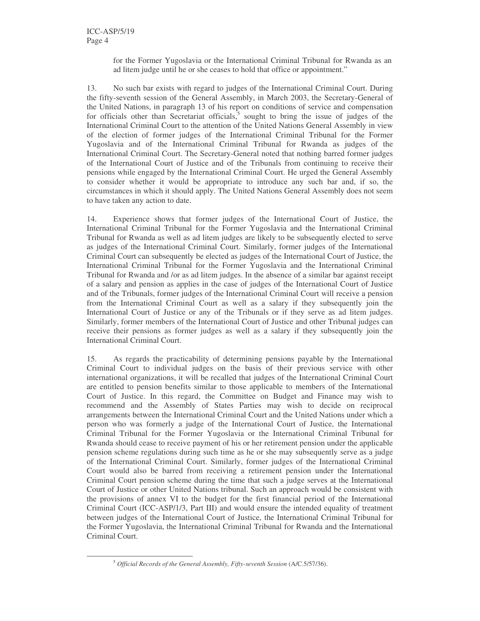for the Former Yugoslavia or the International Criminal Tribunal for Rwanda as an ad litem judge until he or she ceases to hold that office or appointment."

13. No such bar exists with regard to judges of the International Criminal Court. During the fifty-seventh session of the General Assembly, in March 2003, the Secretary-General of the United Nations, in paragraph 13 of his report on conditions of service and compensation for officials other than Secretariat officials, 5 sought to bring the issue of judges of the International Criminal Court to the attention of the United Nations General Assembly in view of the election of former judges of the International Criminal Tribunal for the Former Yugoslavia and of the International Criminal Tribunal for Rwanda as judges of the International Criminal Court. The Secretary-General noted that nothing barred former judges of the International Court of Justice and of the Tribunals from continuing to receive their pensions while engaged by the International Criminal Court. He urged the General Assembly to consider whether it would be appropriate to introduce any such bar and, if so, the circumstances in which it should apply. The United Nations General Assembly does not seem to have taken any action to date.

14. Experience shows that former judges of the International Court of Justice, the International Criminal Tribunal for the Former Yugoslavia and the International Criminal Tribunal for Rwanda as well as ad litem judges are likely to be subsequently elected to serve as judges of the International Criminal Court. Similarly, former judges of the International Criminal Court can subsequently be elected as judges of the International Court of Justice, the International Criminal Tribunal for the Former Yugoslavia and the International Criminal Tribunal for Rwanda and /or as ad litem judges. In the absence of a similar bar against receipt of a salary and pension as applies in the case of judges of the International Court of Justice and of the Tribunals, former judges of the International Criminal Court will receive a pension from the International Criminal Court as well as a salary if they subsequently join the International Court of Justice or any of the Tribunals or if they serve as ad litem judges. Similarly, former members of the International Court of Justice and other Tribunal judges can receive their pensions as former judges as well as a salary if they subsequently join the International Criminal Court.

15. As regards the practicability of determining pensions payable by the International Criminal Court to individual judges on the basis of their previous service with other international organizations, it will be recalled that judges of the International Criminal Court are entitled to pension benefits similar to those applicable to members of the International Court of Justice. In this regard, the Committee on Budget and Finance may wish to recommend and the Assembly of States Parties may wish to decide on reciprocal arrangements between the International Criminal Court and the United Nations under which a person who was formerly a judge of the International Court of Justice, the International Criminal Tribunal for the Former Yugoslavia or the International Criminal Tribunal for Rwanda should cease to receive payment of his or her retirement pension under the applicable pension scheme regulations during such time as he or she may subsequently serve as a judge of the International Criminal Court. Similarly, former judges of the International Criminal Court would also be barred from receiving a retirement pension under the International Criminal Court pension scheme during the time that such a judge serves at the International Court of Justice or other United Nations tribunal. Such an approach would be consistent with the provisions of annex VI to the budget for the first financial period of the International Criminal Court (ICC-ASP/1/3, Part III) and would ensure the intended equality of treatment between judges of the International Court of Justice, the International Criminal Tribunal for the Former Yugoslavia, the International Criminal Tribunal for Rwanda and the International Criminal Court.

<sup>5</sup> *Official Records of the General Assembly, Fifty-seventh Session* (A/C.5/57/36).